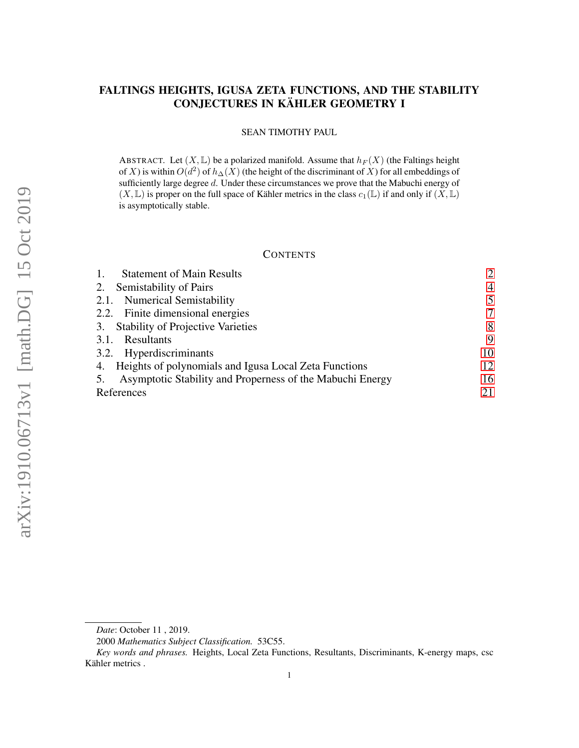# FALTINGS HEIGHTS, IGUSA ZETA FUNCTIONS, AND THE STABILITY CONJECTURES IN KÄHLER GEOMETRY I

#### SEAN TIMOTHY PAUL

ABSTRACT. Let  $(X, \mathbb{L})$  be a polarized manifold. Assume that  $h_F(X)$  (the Faltings height of X) is within  $O(d^2)$  of  $h_\Delta(X)$  (the height of the discriminant of X) for all embeddings of sufficiently large degree d. Under these circumstances we prove that the Mabuchi energy of  $(X, \mathbb{L})$  is proper on the full space of Kähler metrics in the class  $c_1(\mathbb{L})$  if and only if  $(X, \mathbb{L})$ is asymptotically stable.

## **CONTENTS**

| <b>Statement of Main Results</b>                          | $\overline{2}$ |
|-----------------------------------------------------------|----------------|
| Semistability of Pairs<br>2.                              | $\overline{4}$ |
| 2.1. Numerical Semistability                              | 5              |
| 2.2. Finite dimensional energies                          | 7              |
| 3. Stability of Projective Varieties                      | 8              |
| Resultants<br>3.1.                                        | 9              |
| 3.2. Hyperdiscriminants                                   | 10             |
| 4. Heights of polynomials and Igusa Local Zeta Functions  | 12             |
| Asymptotic Stability and Properness of the Mabuchi Energy | 16             |
| References                                                | 21             |

*Date*: October 11 , 2019.

<sup>2000</sup> *Mathematics Subject Classification.* 53C55.

*Key words and phrases.* Heights, Local Zeta Functions, Resultants, Discriminants, K-energy maps, csc Kähler metrics .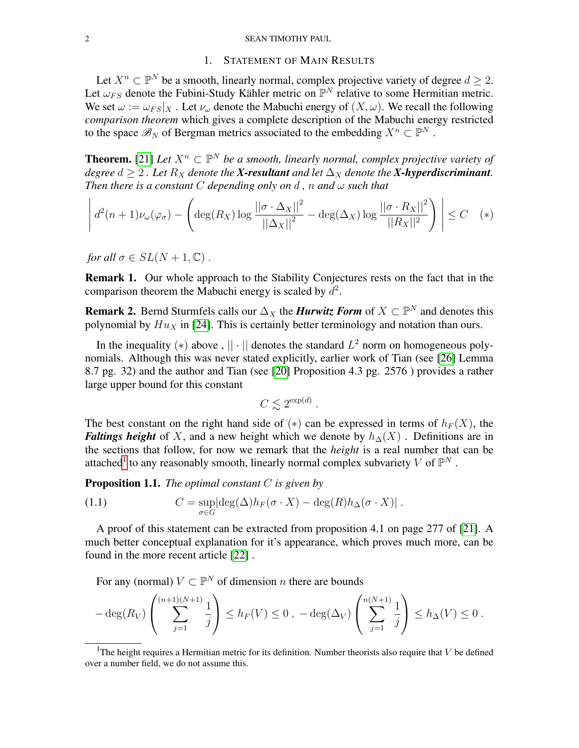#### 2 SEAN TIMOTHY PAUL

## 1. STATEMENT OF MAIN RESULTS

<span id="page-1-0"></span>Let  $X^n \subset \mathbb{P}^N$  be a smooth, linearly normal, complex projective variety of degree  $d \geq 2$ . Let  $\omega_{FS}$  denote the Fubini-Study Kähler metric on  $\mathbb{P}^N$  relative to some Hermitian metric. We set  $\omega := \omega_{FS}|_X$ . Let  $\nu_\omega$  denote the Mabuchi energy of  $(X, \omega)$ . We recall the following *comparison theorem* which gives a complete description of the Mabuchi energy restricted to the space  $\mathscr{B}_N$  of Bergman metrics associated to the embedding  $X^n \subset \mathbb{P}^N$ .

**Theorem.** [\[21\]](#page-20-1) Let  $X^n \subset \mathbb{P}^N$  be a smooth, linearly normal, complex projective variety of *degree*  $d > 2$ . Let  $R_X$  *denote the* **X-resultant** and let  $\Delta_X$  *denote the* **X-hyperdiscriminant***. Then there is a constant* C *depending only on*  $d$ ,  $n$  *and*  $\omega$  *such that* 

$$
\left| d^2(n+1)\nu_{\omega}(\varphi_{\sigma}) - \left( \deg(R_X) \log \frac{\left| |\sigma \cdot \Delta_X| \right|^2}{\left| |\Delta_X| \right|^2} - \deg(\Delta_X) \log \frac{\left| |\sigma \cdot R_X| \right|^2}{\left| |R_X| \right|^2} \right) \right| \leq C \quad (*)
$$

*for all*  $\sigma \in SL(N + 1, \mathbb{C})$ .

Remark 1. Our whole approach to the Stability Conjectures rests on the fact that in the comparison theorem the Mabuchi energy is scaled by  $d^2$ .

**Remark 2.** Bernd Sturmfels calls our  $\Delta_X$  the *Hurwitz Form* of  $X \subset \mathbb{P}^N$  and denotes this polynomial by  $Hu_X$  in [\[24\]](#page-21-0). This is certainly better terminology and notation than ours.

In the inequality (\*) above,  $|| \cdot ||$  denotes the standard  $L^2$  norm on homogeneous polynomials. Although this was never stated explicitly, earlier work of Tian (see [\[26\]](#page-21-1) Lemma 8.7 pg. 32) and the author and Tian (see [\[20\]](#page-20-2) Proposition 4.3 pg. 2576 ) provides a rather large upper bound for this constant

$$
C \lesssim 2^{\exp(d)}.
$$

The best constant on the right hand side of  $(*)$  can be expressed in terms of  $h_F(X)$ , the *Faltings height* of X, and a new height which we denote by  $h_0(X)$ . Definitions are in the sections that follow, for now we remark that the *height* is a real number that can be attached<sup>[1](#page-1-1)</sup> to any reasonably smooth, linearly normal complex subvariety V of  $\mathbb{P}^N$ .

Proposition 1.1. *The optimal constant* C *is given by*

<span id="page-1-2"></span>(1.1) 
$$
C = \sup_{\sigma \in G} |\deg(\Delta)h_F(\sigma \cdot X) - \deg(R)h_{\Delta}(\sigma \cdot X)|.
$$

A proof of this statement can be extracted from proposition 4.1 on page 277 of [\[21\]](#page-20-1). A much better conceptual explanation for it's appearance, which proves much more, can be found in the more recent article [\[22\]](#page-20-3) .

For any (normal)  $V \subset \mathbb{P}^N$  of dimension *n* there are bounds

$$
-\deg(R_V)\left(\sum_{j=1}^{(n+1)(N+1)}\frac{1}{j}\right)\le h_F(V)\le 0\ ,\ -\deg(\Delta_V)\left(\sum_{j=1}^{n(N+1)}\frac{1}{j}\right)\le h_\Delta(V)\le 0\ .
$$

<span id="page-1-1"></span><sup>&</sup>lt;sup>1</sup>The height requires a Hermitian metric for its definition. Number theorists also require that V be defined over a number field, we do not assume this.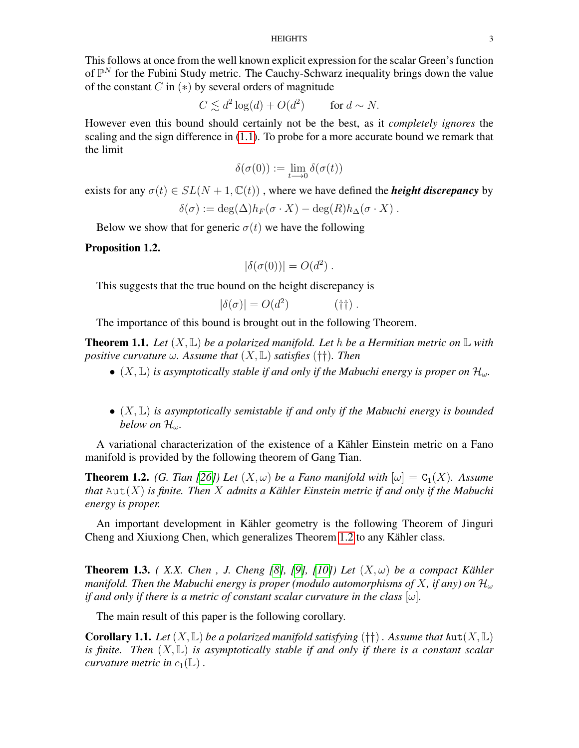This follows at once from the well known explicit expression for the scalar Green's function of  $\mathbb{P}^N$  for the Fubini Study metric. The Cauchy-Schwarz inequality brings down the value of the constant  $C$  in  $(*)$  by several orders of magnitude

$$
C \lesssim d^2 \log(d) + O(d^2) \qquad \text{for } d \sim N.
$$

However even this bound should certainly not be the best, as it *completely ignores* the scaling and the sign difference in [\(1.1\)](#page-1-2). To probe for a more accurate bound we remark that the limit

$$
\delta(\sigma(0)):=\lim_{t\longrightarrow 0}\delta(\sigma(t))
$$

exists for any  $\sigma(t) \in SL(N + 1, \mathbb{C}(t))$ , where we have defined the *height discrepancy* by

$$
\delta(\sigma) := \deg(\Delta) h_F(\sigma \cdot X) - \deg(R) h_\Delta(\sigma \cdot X) .
$$

Below we show that for generic  $\sigma(t)$  we have the following

## Proposition 1.2.

$$
|\delta(\sigma(0))| = O(d^2) .
$$

This suggests that the true bound on the height discrepancy is

$$
|\delta(\sigma)| = O(d^2) \tag{†}\dagger.
$$

The importance of this bound is brought out in the following Theorem.

**Theorem 1.1.** Let  $(X, \mathbb{L})$  be a polarized manifold. Let h be a Hermitian metric on  $\mathbb{L}$  with *positive curvature*  $\omega$ *. Assume that*  $(X, \mathbb{L})$  *satisfies* (††)*. Then* 

- $(X, \mathbb{L})$  *is asymptotically stable if and only if the Mabuchi energy is proper on*  $\mathcal{H}_{\omega}$ .
- (X, L) *is asymptotically semistable if and only if the Mabuchi energy is bounded below on* Hω*.*

A variational characterization of the existence of a Kähler Einstein metric on a Fano manifold is provided by the following theorem of Gang Tian.

<span id="page-2-0"></span>**Theorem 1.2.** *(G. Tian [\[26\]](#page-21-1))* Let  $(X, \omega)$  be a Fano manifold with  $[\omega] = C_1(X)$ . Assume *that* Aut(X) *is finite. Then* X *admits a Kähler Einstein metric if and only if the Mabuchi energy is proper.*

An important development in Kähler geometry is the following Theorem of Jinguri Cheng and Xiuxiong Chen, which generalizes Theorem [1.2](#page-2-0) to any Kähler class.

**Theorem 1.3.** *(X.X. Chen, J. Cheng [\[8\]](#page-20-4), [\[9\]](#page-20-5), [\[10\]](#page-20-6)) Let*  $(X, \omega)$  *be a compact Kähler manifold. Then the Mabuchi energy is proper (modulo automorphisms of X, if any) on*  $\mathcal{H}_{\omega}$ *if and only if there is a metric of constant scalar curvature in the class*  $[\omega]$ .

The main result of this paper is the following corollary.

**Corollary 1.1.** *Let*  $(X, \mathbb{L})$  *be a polarized manifold satisfying*  $(\dagger \dagger)$  *. Assume that*  $Aut(X, \mathbb{L})$ *is finite. Then* (X, L) *is asymptotically stable if and only if there is a constant scalar curvature metric in*  $c_1(\mathbb{L})$ .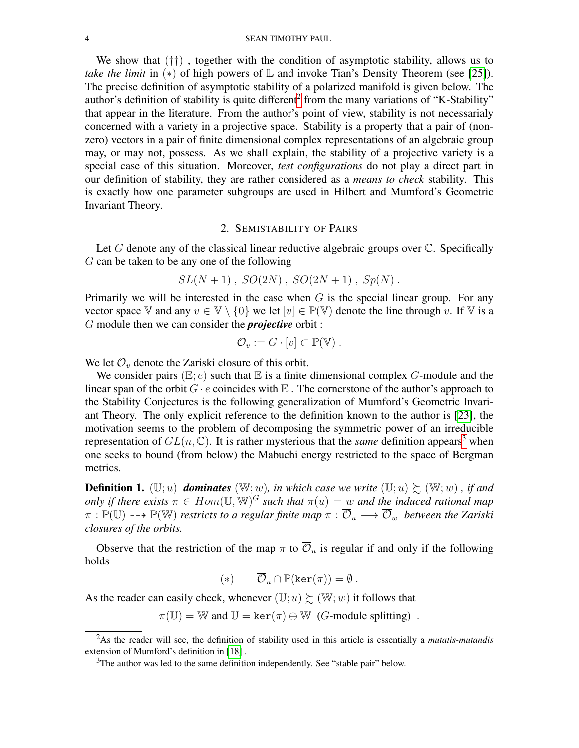We show that  $(\dagger\dagger)$ , together with the condition of asymptotic stability, allows us to *take the limit* in  $(*)$  of high powers of  $\mathbb{L}$  and invoke Tian's Density Theorem (see [\[25\]](#page-21-2)). The precise definition of asymptotic stability of a polarized manifold is given below. The author's definition of stability is quite different<sup>[2](#page-3-1)</sup> from the many variations of "K-Stability" that appear in the literature. From the author's point of view, stability is not necessarialy concerned with a variety in a projective space. Stability is a property that a pair of (nonzero) vectors in a pair of finite dimensional complex representations of an algebraic group may, or may not, possess. As we shall explain, the stability of a projective variety is a special case of this situation. Moreover, *test configurations* do not play a direct part in our definition of stability, they are rather considered as a *means to check* stability. This is exactly how one parameter subgroups are used in Hilbert and Mumford's Geometric Invariant Theory.

## 2. SEMISTABILITY OF PAIRS

<span id="page-3-0"></span>Let  $G$  denote any of the classical linear reductive algebraic groups over  $C$ . Specifically G can be taken to be any one of the following

$$
SL(N + 1)
$$
,  $SO(2N)$ ,  $SO(2N + 1)$ ,  $Sp(N)$ .

Primarily we will be interested in the case when  $G$  is the special linear group. For any vector space V and any  $v \in V \setminus \{0\}$  we let  $[v] \in \mathbb{P}(V)$  denote the line through v. If V is a G module then we can consider the *projective* orbit :

$$
\mathcal{O}_v := G \cdot [v] \subset \mathbb{P}(\mathbb{V}) \ .
$$

We let  $\overline{\mathcal{O}}_v$  denote the Zariski closure of this orbit.

We consider pairs  $(E; e)$  such that  $E$  is a finite dimensional complex G-module and the linear span of the orbit  $G \cdot e$  coincides with  $E$ . The cornerstone of the author's approach to the Stability Conjectures is the following generalization of Mumford's Geometric Invariant Theory. The only explicit reference to the definition known to the author is [\[23\]](#page-20-7), the motivation seems to the problem of decomposing the symmetric power of an irreducible representation of  $GL(n,\mathbb{C})$ . It is rather mysterious that the *same* definition appears<sup>[3](#page-3-2)</sup> when one seeks to bound (from below) the Mabuchi energy restricted to the space of Bergman metrics.

**Definition 1.** (U; u) **dominates** (W; w), in which case we write (U; u)  $\geq$  (W; w), if and *only if there exists*  $\pi \in Hom(\mathbb{U}, \mathbb{W})^G$  *such that*  $\pi(u) = w$  *and the induced rational map*  $\pi : \mathbb{P}(\mathbb{U}) \dashrightarrow \mathbb{P}(\mathbb{W})$  *restricts to a regular finite map*  $\pi : \overline{\mathcal{O}}_u \longrightarrow \overline{\mathcal{O}}_w$  *between the Zariski closures of the orbits.*

Observe that the restriction of the map  $\pi$  to  $\overline{\mathcal{O}}_u$  is regular if and only if the following holds

$$
(*) \qquad \overline{\mathcal{O}}_u \cap \mathbb{P}(\ker(\pi)) = \emptyset.
$$

As the reader can easily check, whenever  $(\mathbb{U}; u) \succeq (\mathbb{W}; w)$  it follows that

 $\pi(\mathbb{U}) = \mathbb{W}$  and  $\mathbb{U} = \ker(\pi) \oplus \mathbb{W}$  (*G*-module splitting).

<span id="page-3-1"></span><sup>2</sup>As the reader will see, the definition of stability used in this article is essentially a *mutatis-mutandis* extension of Mumford's definition in [\[18\]](#page-20-8) .

<span id="page-3-2"></span><sup>&</sup>lt;sup>3</sup>The author was led to the same definition independently. See "stable pair" below.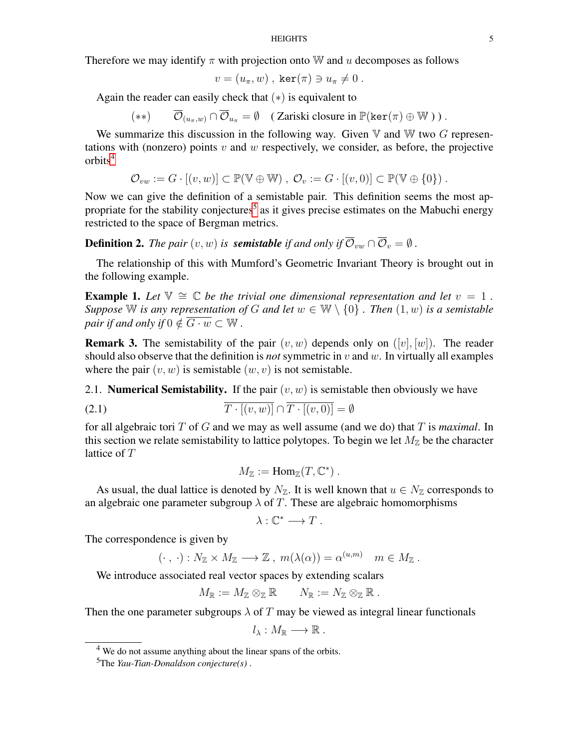Therefore we may identify  $\pi$  with projection onto W and u decomposes as follows

$$
v = (u_{\pi}, w) , \ker(\pi) \ni u_{\pi} \neq 0 .
$$

Again the reader can easily check that  $(*)$  is equivalent to

$$
(**) \qquad \overline{\mathcal{O}}_{(u_{\pi},w)} \cap \overline{\mathcal{O}}_{u_{\pi}} = \emptyset \quad (\text{Zariski closure in } \mathbb{P}(\ker(\pi) \oplus \mathbb{W})).
$$

We summarize this discussion in the following way. Given  $V$  and  $W$  two  $G$  representations with (nonzero) points  $v$  and  $w$  respectively, we consider, as before, the projective orbits<sup>[4](#page-4-1)</sup>

$$
\mathcal{O}_{vw} := G \cdot [(v, w)] \subset \mathbb{P}(\mathbb{V} \oplus \mathbb{W}), \ \mathcal{O}_{v} := G \cdot [(v, 0)] \subset \mathbb{P}(\mathbb{V} \oplus \{0\}).
$$

Now we can give the definition of a semistable pair. This definition seems the most ap-propriate for the stability conjectures<sup>[5](#page-4-2)</sup> as it gives precise estimates on the Mabuchi energy restricted to the space of Bergman metrics.

**Definition 2.** *The pair*  $(v, w)$  *is semistable if and only if*  $\overline{\mathcal{O}}_{vw} \cap \overline{\mathcal{O}}_v = \emptyset$ .

The relationship of this with Mumford's Geometric Invariant Theory is brought out in the following example.

**Example 1.** Let  $\mathbb{V} \cong \mathbb{C}$  be the trivial one dimensional representation and let  $v = 1$ . *Suppose* W *is any representation of* G *and let*  $w \in W \setminus \{0\}$  *. Then*  $(1, w)$  *is a semistable pair if and only if*  $0 \notin \overline{G \cdot w} \subset \mathbb{W}$ .

**Remark 3.** The semistability of the pair  $(v, w)$  depends only on  $([v], [w])$ . The reader should also observe that the definition is *not* symmetric in  $v$  and  $w$ . In virtually all examples where the pair  $(v, w)$  is semistable  $(w, v)$  is not semistable.

<span id="page-4-0"></span>2.1. **Numerical Semistability.** If the pair  $(v, w)$  is semistable then obviously we have

(2.1) 
$$
\overline{T \cdot [(v, w)]} \cap \overline{T \cdot [(v, 0)]} = \emptyset
$$

for all algebraic tori T of G and we may as well assume (and we do) that T is *maximal*. In this section we relate semistability to lattice polytopes. To begin we let  $M_{\mathbb{Z}}$  be the character lattice of T

$$
M_{\mathbb{Z}} := \text{Hom}_{\mathbb{Z}}(T, \mathbb{C}^*)\ .
$$

As usual, the dual lattice is denoted by  $N_{\mathbb{Z}}$ . It is well known that  $u \in N_{\mathbb{Z}}$  corresponds to an algebraic one parameter subgroup  $\lambda$  of T. These are algebraic homomorphisms

$$
\lambda: \mathbb{C}^* \longrightarrow T.
$$

The correspondence is given by

$$
(\cdot, \cdot): N_{\mathbb{Z}} \times M_{\mathbb{Z}} \longrightarrow \mathbb{Z}, \ m(\lambda(\alpha)) = \alpha^{(u,m)} \quad m \in M_{\mathbb{Z}}.
$$

We introduce associated real vector spaces by extending scalars

$$
M_{\mathbb{R}} := M_{\mathbb{Z}} \otimes_{\mathbb{Z}} \mathbb{R} \qquad N_{\mathbb{R}} := N_{\mathbb{Z}} \otimes_{\mathbb{Z}} \mathbb{R} .
$$

Then the one parameter subgroups  $\lambda$  of T may be viewed as integral linear functionals

$$
l_{\lambda}:M_{\mathbb{R}}\longrightarrow \mathbb{R}.
$$

<span id="page-4-1"></span><sup>&</sup>lt;sup>4</sup> We do not assume anything about the linear spans of the orbits.

<span id="page-4-2"></span><sup>5</sup>The *Yau-Tian-Donaldson conjecture(s)* .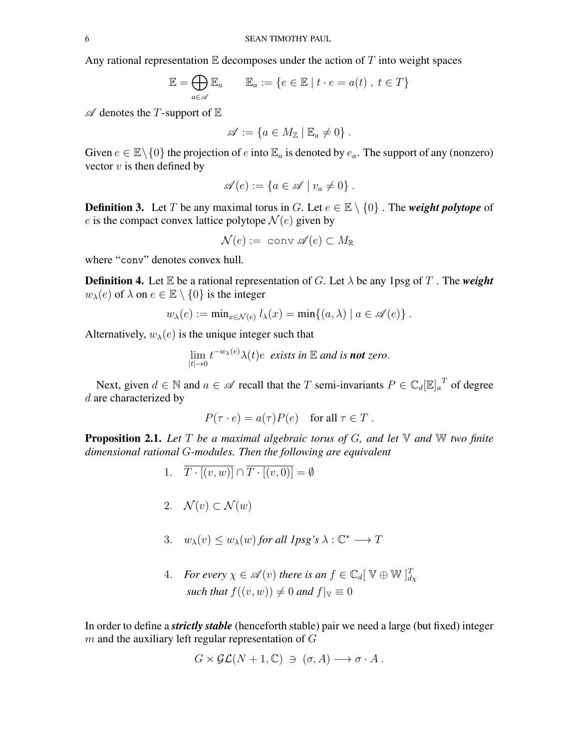Any rational representation  $E$  decomposes under the action of  $T$  into weight spaces

$$
\mathbb{E} = \bigoplus_{a \in \mathscr{A}} \mathbb{E}_a \qquad \mathbb{E}_a := \{ e \in \mathbb{E} \mid t \cdot e = a(t) \mid t \in T \}
$$

 $\mathscr A$  denotes the T-support of  $\mathbb E$ 

$$
\mathscr{A} := \{ a \in M_{\mathbb{Z}} \mid \mathbb{E}_a \neq 0 \} .
$$

Given  $e \in \mathbb{E} \setminus \{0\}$  the projection of e into  $\mathbb{E}_a$  is denoted by  $e_a$ . The support of any (nonzero) vector  $v$  is then defined by

$$
\mathscr{A}(e) := \{ a \in \mathscr{A} \mid v_a \neq 0 \} .
$$

**Definition 3.** Let T be any maximal torus in G. Let  $e \in \mathbb{E} \setminus \{0\}$ . The *weight polytope* of e is the compact convex lattice polytope  $\mathcal{N}(e)$  given by

$$
\mathcal{N}(e):=\text{ conv }\mathscr{A}(e)\subset M_\mathbb{R}
$$

where "conv" denotes convex hull*.*

**Definition 4.** Let  $\mathbb E$  be a rational representation of G. Let  $\lambda$  be any 1psg of T. The *weight*  $w_{\lambda}(e)$  of  $\lambda$  on  $e \in \mathbb{E} \setminus \{0\}$  is the integer

$$
w_{\lambda}(e) := \min_{x \in \mathcal{N}(e)} l_{\lambda}(x) = \min\{(a, \lambda) \mid a \in \mathscr{A}(e)\}.
$$

Alternatively,  $w_{\lambda}(e)$  is the unique integer such that

$$
\lim_{|t|\to 0} t^{-w_\lambda(e)} \lambda(t) e
$$
 exists in E and is **not** zero.

Next, given  $d \in \mathbb{N}$  and  $a \in \mathscr{A}$  recall that the T semi-invariants  $P \in \mathbb{C}_d[\mathbb{E}]_a^T$  of degree d are characterized by

$$
P(\tau \cdot e) = a(\tau)P(e) \text{ for all } \tau \in T.
$$

Proposition 2.1. *Let* T *be a maximal algebraic torus of* G*, and let* V *and* W *two finite dimensional rational* G*-modules. Then the following are equivalent*

- 1.  $\overline{T \cdot [(v, w)]} \cap \overline{T \cdot [(v, 0)]} = \emptyset$
- 2.  $\mathcal{N}(v) \subset \mathcal{N}(w)$

3. 
$$
w_{\lambda}(v) \le w_{\lambda}(w)
$$
 for all lpsg's  $\lambda : \mathbb{C}^* \longrightarrow T$ 

4. *For every*  $\chi \in \mathscr{A}(v)$  *there is an*  $f \in \mathbb{C}_d[\mathbb{V} \oplus \mathbb{W}]_{d\chi}^T$ *such that*  $f((v, w)) \neq 0$  *and*  $f|_v \equiv 0$ 

In order to define a *strictly stable* (henceforth stable) pair we need a large (but fixed) integer  $m$  and the auxiliary left regular representation of  $G$ 

$$
G \times \mathcal{GL}(N+1,\mathbb{C}) \ni (\sigma, A) \longrightarrow \sigma \cdot A.
$$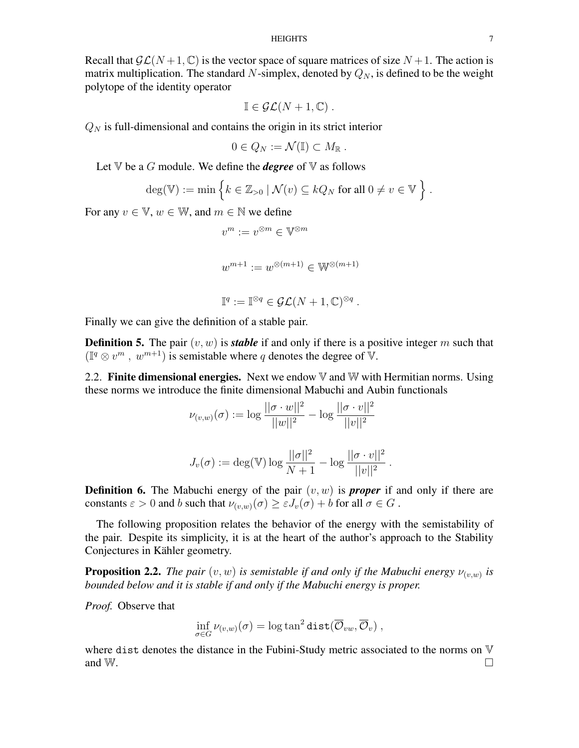### HEIGHTS 7

Recall that  $\mathcal{GL}(N+1,\mathbb{C})$  is the vector space of square matrices of size  $N+1$ . The action is matrix multiplication. The standard N-simplex, denoted by  $Q_N$ , is defined to be the weight polytope of the identity operator

$$
\mathbb{I} \in \mathcal{GL}(N+1,\mathbb{C}) \ .
$$

 $Q_N$  is full-dimensional and contains the origin in its strict interior

$$
0\in Q_N:=\mathcal{N}(\mathbb{I})\subset M_{\mathbb{R}}.
$$

Let  $\nabla$  be a *G* module. We define the *degree* of  $\nabla$  as follows

$$
\deg(\mathbb{V}) := \min \left\{ k \in \mathbb{Z}_{>0} \mid \mathcal{N}(v) \subseteq kQ_N \text{ for all } 0 \neq v \in \mathbb{V} \right\}.
$$

For any  $v \in \mathbb{V}$ ,  $w \in \mathbb{W}$ , and  $m \in \mathbb{N}$  we define

$$
v^m:=v^{\otimes m}\in\mathbb{V}^{\otimes m}
$$

$$
w^{m+1}:=w^{\otimes (m+1)}\in \mathbb{W}^{\otimes (m+1)}
$$

$$
\mathbb{I}^q := \mathbb{I}^{\otimes q} \in \mathcal{GL}(N+1,\mathbb{C})^{\otimes q} .
$$

Finally we can give the definition of a stable pair.

**Definition 5.** The pair  $(v, w)$  is *stable* if and only if there is a positive integer m such that  $(\mathbb{I}^q \otimes v^m, w^{m+1})$  is semistable where q denotes the degree of  $\mathbb{V}$ .

<span id="page-6-0"></span>2.2. Finite dimensional energies. Next we endow  $\nabla$  and  $\nabla$  with Hermitian norms. Using these norms we introduce the finite dimensional Mabuchi and Aubin functionals

$$
\nu_{(v,w)}(\sigma) := \log \frac{||\sigma \cdot w||^2}{||w||^2} - \log \frac{||\sigma \cdot v||^2}{||v||^2}
$$

$$
J_v(\sigma) := \deg(\mathbb{V}) \log \frac{||\sigma||^2}{N+1} - \log \frac{||\sigma \cdot v||^2}{||v||^2}
$$

.

**Definition 6.** The Mabuchi energy of the pair  $(v, w)$  is **proper** if and only if there are constants  $\varepsilon > 0$  and b such that  $\nu_{(v,w)}(\sigma) \geq \varepsilon J_v(\sigma) + b$  for all  $\sigma \in G$ .

The following proposition relates the behavior of the energy with the semistability of the pair. Despite its simplicity, it is at the heart of the author's approach to the Stability Conjectures in Kähler geometry.

<span id="page-6-1"></span>**Proposition 2.2.** The pair  $(v, w)$  is semistable if and only if the Mabuchi energy  $\nu_{(v,w)}$  is *bounded below and it is stable if and only if the Mabuchi energy is proper.*

*Proof.* Observe that

$$
\inf_{\sigma \in G} \nu_{(v,w)}(\sigma) = \log \tan^2 \mathtt{dist}(\overline{\mathcal{O}}_{vw}, \overline{\mathcal{O}}_v) ,
$$

where dist denotes the distance in the Fubini-Study metric associated to the norms on V and W.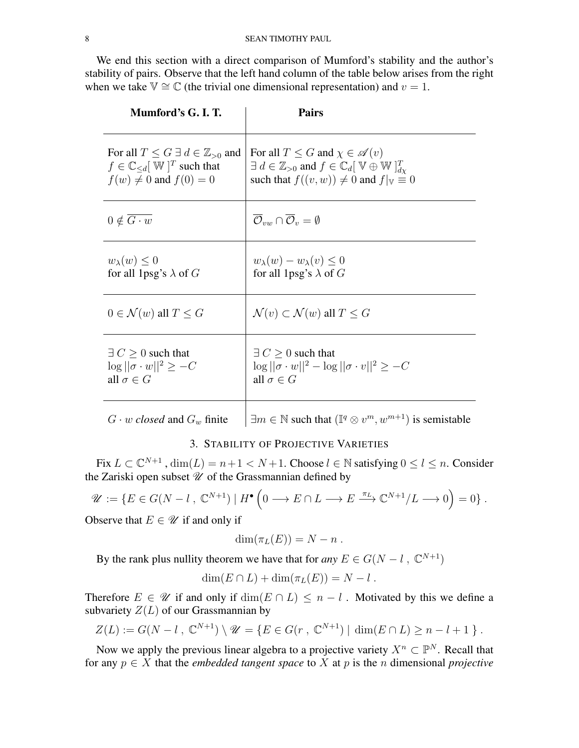We end this section with a direct comparison of Mumford's stability and the author's stability of pairs. Observe that the left hand column of the table below arises from the right when we take  $\mathbb{V} \cong \mathbb{C}$  (the trivial one dimensional representation) and  $v = 1$ .

| Mumford's G. I. T.                                                                                                                         | <b>Pairs</b>                                                                                                                                                                                                    |
|--------------------------------------------------------------------------------------------------------------------------------------------|-----------------------------------------------------------------------------------------------------------------------------------------------------------------------------------------------------------------|
| For all $T \leq G \exists d \in \mathbb{Z}_{>0}$ and<br>$f \in \mathbb{C}_{\le d}[\mathbb{W}]^T$ such that<br>$f(w) \neq 0$ and $f(0) = 0$ | For all $T \leq G$ and $\chi \in \mathscr{A}(v)$<br>$\exists d \in \mathbb{Z}_{>0}$ and $f \in \mathbb{C}_d[\mathbb{V} \oplus \mathbb{W}]_{d\mathcal{N}}^T$<br>such that $f((v, w)) \neq 0$ and $f _v \equiv 0$ |
| $0 \notin \overline{G \cdot w}$                                                                                                            | $\overline{\mathcal{O}}_{vw} \cap \overline{\mathcal{O}}_{v} = \emptyset$                                                                                                                                       |
| $w_{\lambda}(w) \leq 0$<br>for all 1psg's $\lambda$ of G                                                                                   | $w_{\lambda}(w) - w_{\lambda}(v) \leq 0$<br>for all 1psg's $\lambda$ of G                                                                                                                                       |
| $0 \in \mathcal{N}(w)$ all $T \leq G$                                                                                                      | $\mathcal{N}(v) \subset \mathcal{N}(w)$ all $T \leq G$                                                                                                                                                          |
| $\exists C \geq 0$ such that<br>$\log   \sigma \cdot w  ^2 \geq -C$<br>all $\sigma \in G$                                                  | $\exists C > 0$ such that<br>$\log   \sigma \cdot w  ^2 - \log   \sigma \cdot v  ^2 \geq -C$<br>all $\sigma \in G$                                                                                              |
|                                                                                                                                            |                                                                                                                                                                                                                 |

 $G \cdot w$  *closed* and  $G_w$  finite  $\exists m \in \mathbb{N}$  such that  $(\mathbb{I}^q \otimes v^m, w^{m+1})$  is semistable

# 3. STABILITY OF PROJECTIVE VARIETIES

<span id="page-7-0"></span>Fix  $L \subset \mathbb{C}^{N+1}$ ,  $\dim(L) = n+1 < N+1$ . Choose  $l \in \mathbb{N}$  satisfying  $0 \le l \le n$ . Consider the Zariski open subset  $\mathscr U$  of the Grassmannian defined by

$$
\mathscr{U} := \{ E \in G(N - l \,, \mathbb{C}^{N+1}) \mid H^{\bullet} \left( 0 \longrightarrow E \cap L \longrightarrow E \stackrel{\pi_L}{\longrightarrow} \mathbb{C}^{N+1}/L \longrightarrow 0 \right) = 0 \} .
$$

Observe that  $E \in \mathcal{U}$  if and only if

$$
\dim(\pi_L(E))=N-n.
$$

By the rank plus nullity theorem we have that for *any*  $E \in G(N - l, \mathbb{C}^{N+1})$ 

$$
\dim(E \cap L) + \dim(\pi_L(E)) = N - l.
$$

Therefore  $E \in \mathscr{U}$  if and only if  $\dim(E \cap L) \leq n - l$ . Motivated by this we define a subvariety  $Z(L)$  of our Grassmannian by

$$
Z(L) := G(N - l , \mathbb{C}^{N+1}) \setminus \mathscr{U} = \{ E \in G(r , \mathbb{C}^{N+1}) \mid \dim(E \cap L) \ge n - l + 1 \} .
$$

Now we apply the previous linear algebra to a projective variety  $X^n \subset \mathbb{P}^N$ . Recall that for any  $p \in X$  that the *embedded tangent space* to X at p is the n dimensional *projective*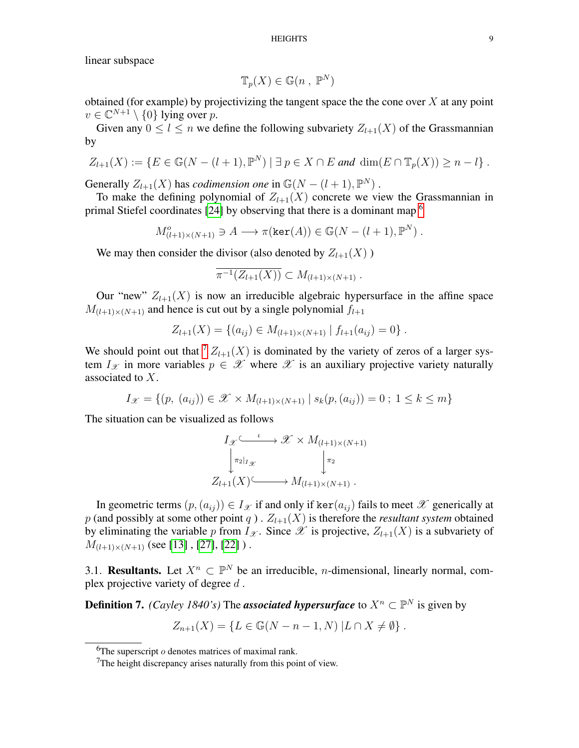HEIGHTS 9

linear subspace

$$
\mathbb{T}_p(X) \in \mathbb{G}(n \, , \, \mathbb{P}^N)
$$

obtained (for example) by projectivizing the tangent space the the cone over  $X$  at any point  $v \in \mathbb{C}^{N+1} \setminus \{0\}$  lying over p.

Given any  $0 \leq l \leq n$  we define the following subvariety  $Z_{l+1}(X)$  of the Grassmannian by

$$
Z_{l+1}(X) := \{ E \in \mathbb{G}(N-(l+1),\mathbb{P}^N) \mid \exists p \in X \cap E \text{ and } \dim(E \cap \mathbb{T}_p(X)) \geq n-l \} .
$$

Generally  $Z_{l+1}(X)$  has *codimension one* in  $\mathbb{G}(N - (l+1), \mathbb{P}^N)$ .

To make the defining polynomial of  $Z_{l+1}(X)$  concrete we view the Grassmannian in primal Stiefel coordinates [\[24\]](#page-21-0) by observing that there is a dominant map  $<sup>6</sup>$  $<sup>6</sup>$  $<sup>6</sup>$ </sup>

$$
M_{(l+1)\times(N+1)}^o \ni A \longrightarrow \pi(\ker(A)) \in \mathbb{G}(N-(l+1), \mathbb{P}^N).
$$

We may then consider the divisor (also denoted by  $Z_{l+1}(X)$ )

$$
\overline{\pi^{-1}(Z_{l+1}(X))} \subset M_{(l+1)\times (N+1)}.
$$

Our "new"  $Z_{l+1}(X)$  is now an irreducible algebraic hypersurface in the affine space  $M_{(l+1)\times(N+1)}$  and hence is cut out by a single polynomial  $f_{l+1}$ 

$$
Z_{l+1}(X) = \{(a_{ij}) \in M_{(l+1)\times(N+1)} | f_{l+1}(a_{ij}) = 0\}.
$$

We should point out that  $\binom{7}{1+1}(X)$  $\binom{7}{1+1}(X)$  $\binom{7}{1+1}(X)$  is dominated by the variety of zeros of a larger system  $I_{\mathscr{X}}$  in more variables  $p \in \mathscr{X}$  where  $\mathscr{X}$  is an auxiliary projective variety naturally associated to X.

$$
I_{\mathcal{X}} = \{ (p, (a_{ij})) \in \mathcal{X} \times M_{(l+1)\times(N+1)} | s_k(p, (a_{ij})) = 0 ; 1 \le k \le m \}
$$

The situation can be visualized as follows

$$
I_{\mathscr{X}} \xrightarrow{\iota} \mathscr{X} \times M_{(l+1)\times(N+1)}
$$

$$
\downarrow^{\pi_2|_{I_{\mathscr{X}}}} \downarrow^{\pi_2}
$$

$$
Z_{l+1}(X) \xrightarrow{\iota} M_{(l+1)\times(N+1)}.
$$

In geometric terms  $(p,(a_{ij})) \in I_{\mathcal{X}}$  if and only if ker $(a_{ij})$  fails to meet  $\mathcal{X}$  generically at p (and possibly at some other point q).  $Z_{l+1}(X)$  is therefore the *resultant system* obtained by eliminating the variable p from  $I_{\mathscr{X}}$ . Since  $\mathscr X$  is projective,  $Z_{l+1}(X)$  is a subvariety of  $M_{(l+1)\times(N+1)}$  (see [\[13\]](#page-20-9), [\[27\]](#page-21-3), [\[22\]](#page-20-3)).

<span id="page-8-0"></span>3.1. **Resultants.** Let  $X^n \subset \mathbb{P}^N$  be an irreducible, *n*-dimensional, linearly normal, complex projective variety of degree d .

**Definition 7.** *(Cayley 1840's)* The *associated hypersurface* to  $X^n \subset \mathbb{P}^N$  is given by

$$
Z_{n+1}(X) = \{ L \in \mathbb{G}(N - n - 1, N) | L \cap X \neq \emptyset \} .
$$

<span id="page-8-1"></span><sup>&</sup>lt;sup>6</sup>The superscript  $o$  denotes matrices of maximal rank.

<span id="page-8-2"></span><sup>&</sup>lt;sup>7</sup>The height discrepancy arises naturally from this point of view.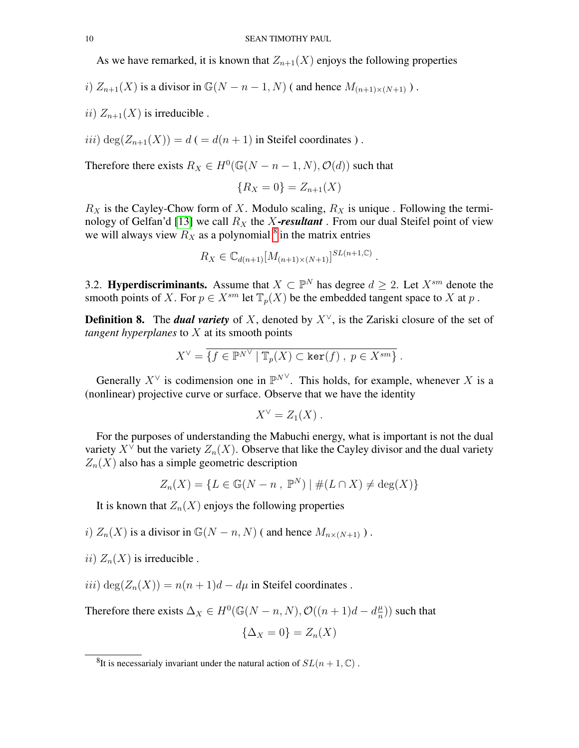As we have remarked, it is known that  $Z_{n+1}(X)$  enjoys the following properties

i)  $Z_{n+1}(X)$  is a divisor in  $\mathbb{G}(N - n - 1, N)$  (and hence  $M_{(n+1)\times(N+1)}$ ).

ii)  $Z_{n+1}(X)$  is irreducible.

iii) deg( $Z_{n+1}(X)$ ) =  $d$  ( =  $d(n+1)$  in Steifel coordinates).

Therefore there exists  $R_X \in H^0(\mathbb{G}(N - n - 1, N), \mathcal{O}(d))$  such that

$$
\{R_X = 0\} = Z_{n+1}(X)
$$

 $R_X$  is the Cayley-Chow form of X. Modulo scaling,  $R_X$  is unique. Following the termi-nology of Gelfan'd [\[13\]](#page-20-9) we call  $R_X$  the X-resultant. From our dual Steifel point of view we will always view  $R_X$  as a polynomial  $\delta$  in the matrix entries

$$
R_X \in \mathbb{C}_{d(n+1)}[M_{(n+1)\times(N+1)}]^{SL(n+1,\mathbb{C})} .
$$

<span id="page-9-0"></span>3.2. **Hyperdiscriminants.** Assume that  $X \subset \mathbb{P}^N$  has degree  $d \geq 2$ . Let  $X^{sm}$  denote the smooth points of X. For  $p \in X^{sm}$  let  $\mathbb{T}_p(X)$  be the embedded tangent space to X at p.

**Definition 8.** The *dual variety* of X, denoted by  $X^{\vee}$ , is the Zariski closure of the set of *tangent hyperplanes* to X at its smooth points

$$
X^{\vee} = \overline{\{f \in \mathbb{P}^{N^{\vee}} \mid \mathbb{T}_p(X) \subset \ker(f), \ p \in X^{sm}\}}.
$$

Generally  $X^{\vee}$  is codimension one in  $\mathbb{P}^{N^{\vee}}$ . This holds, for example, whenever X is a (nonlinear) projective curve or surface. Observe that we have the identity

$$
X^{\vee}=Z_1(X)\ .
$$

For the purposes of understanding the Mabuchi energy, what is important is not the dual variety  $X^{\vee}$  but the variety  $Z_n(X)$ . Observe that like the Cayley divisor and the dual variety  $Z_n(X)$  also has a simple geometric description

$$
Z_n(X) = \{ L \in \mathbb{G}(N - n \, , \, \mathbb{P}^N) \mid \#(L \cap X) \neq \deg(X) \}
$$

It is known that  $Z_n(X)$  enjoys the following properties

i)  $Z_n(X)$  is a divisor in  $\mathbb{G}(N - n, N)$  (and hence  $M_{n \times (N+1)}$ ).

ii)  $Z_n(X)$  is irreducible.

iii) deg( $Z_n(X)$ ) =  $n(n+1)d - d\mu$  in Steifel coordinates.

Therefore there exists  $\Delta_X \in H^0(\mathbb{G}(N-n,N), \mathcal{O}((n+1)d-d\frac{\mu}{n})$  $\frac{\mu}{n})$ ) such that

$$
\{\Delta_X = 0\} = Z_n(X)
$$

<span id="page-9-1"></span><sup>&</sup>lt;sup>8</sup>It is necessarialy invariant under the natural action of  $SL(n + 1, \mathbb{C})$ .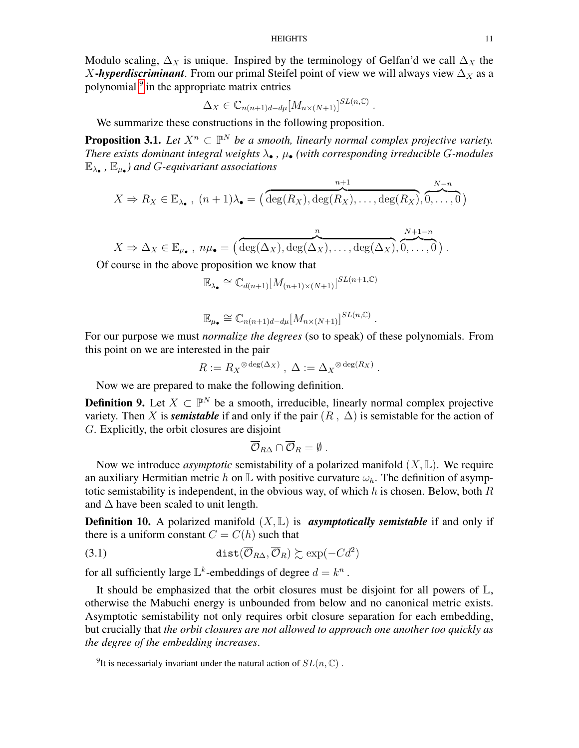Modulo scaling,  $\Delta_X$  is unique. Inspired by the terminology of Gelfan'd we call  $\Delta_X$  the X-*hyperdiscriminant*. From our primal Steifel point of view we will always view  $\Delta_X$  as a polynomial <sup>[9](#page-10-0)</sup> in the appropriate matrix entries

$$
\Delta_X \in \mathbb{C}_{n(n+1)d-d\mu}[M_{n\times(N+1)}]^{SL(n,\mathbb{C})}
$$

.

.

We summarize these constructions in the following proposition.

**Proposition 3.1.** Let  $X^n \subset \mathbb{P}^N$  be a smooth, linearly normal complex projective variety. *There exists dominant integral weights*  $\lambda_{\bullet}$ ,  $\mu_{\bullet}$  *(with corresponding irreducible G-modules* E<sup>λ</sup>• *,* E<sup>µ</sup>• *) and* G*-equivariant associations*

$$
X \Rightarrow R_X \in \mathbb{E}_{\lambda_{\bullet}}, (n+1)\lambda_{\bullet} = (\overbrace{\deg(R_X), \deg(R_X), \ldots, \deg(R_X)}^{n+1}, \overbrace{0, \ldots, 0}^{N-n})
$$

$$
X \Rightarrow \Delta_X \in \mathbb{E}_{\mu_{\bullet}}, \ n\mu_{\bullet} = \left(\frac{n}{\deg(\Delta_X), \deg(\Delta_X), \dots, \deg(\Delta_X)}, \frac{N+1-n}{0, \dots, 0}\right).
$$

Of course in the above proposition we know that

 $\mathbb{E}_{\lambda_{\bullet}} \cong \mathbb{C}_{d(n+1)}[M_{(n+1)\times(N+1)}]^{SL(n+1,\mathbb{C})}$ 

$$
\mathbb{E}_{\mu_{\bullet}} \cong \mathbb{C}_{n(n+1)d-d\mu}[M_{n\times(N+1)}]^{SL(n,\mathbb{C})} .
$$

For our purpose we must *normalize the degrees* (so to speak) of these polynomials. From this point on we are interested in the pair

$$
R := R_X^{\otimes \deg(\Delta_X)}, \ \Delta := \Delta_X^{\otimes \deg(R_X)}
$$

Now we are prepared to make the following definition.

**Definition 9.** Let  $X \subset \mathbb{P}^N$  be a smooth, irreducible, linearly normal complex projective variety. Then X is *semistable* if and only if the pair  $(R, \Delta)$  is semistable for the action of G. Explicitly, the orbit closures are disjoint

$$
\overline{\mathcal{O}}_{R\Delta}\cap\overline{\mathcal{O}}_R=\emptyset.
$$

Now we introduce *asymptotic* semistability of a polarized manifold  $(X, \mathbb{L})$ . We require an auxiliary Hermitian metric h on L with positive curvature  $\omega_h$ . The definition of asymptotic semistability is independent, in the obvious way, of which  $h$  is chosen. Below, both  $R$ and  $\Delta$  have been scaled to unit length.

**Definition 10.** A polarized manifold  $(X, \mathbb{L})$  is **asymptotically semistable** if and only if there is a uniform constant  $C = C(h)$  such that

(3.1) 
$$
\text{dist}(\overline{\mathcal{O}}_{R\Delta}, \overline{\mathcal{O}}_R) \succsim \text{exp}(-Cd^2)
$$

for all sufficiently large  $\mathbb{L}^k$ -embeddings of degree  $d = k^n$ .

It should be emphasized that the orbit closures must be disjoint for all powers of L, otherwise the Mabuchi energy is unbounded from below and no canonical metric exists. Asymptotic semistability not only requires orbit closure separation for each embedding, but crucially that *the orbit closures are not allowed to approach one another too quickly as the degree of the embedding increases*.

<span id="page-10-0"></span><sup>&</sup>lt;sup>9</sup>It is necessarialy invariant under the natural action of  $SL(n, \mathbb{C})$ .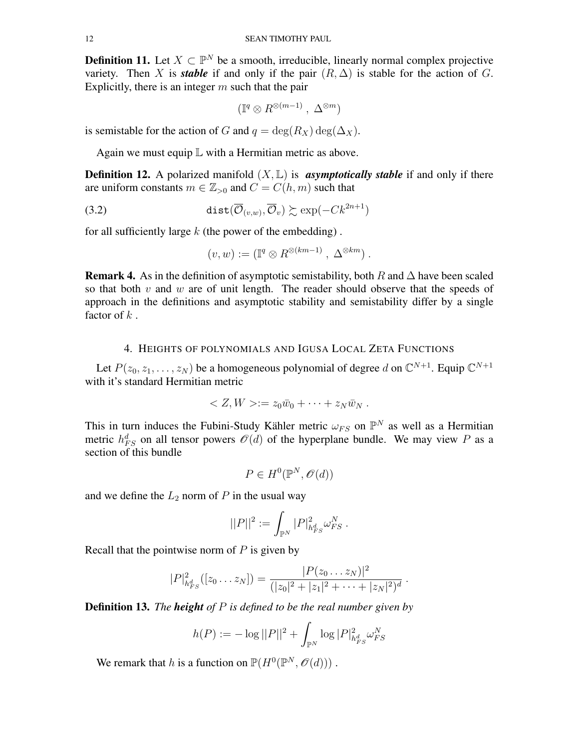**Definition 11.** Let  $X \subset \mathbb{P}^N$  be a smooth, irreducible, linearly normal complex projective variety. Then X is *stable* if and only if the pair  $(R, \Delta)$  is stable for the action of G. Explicitly, there is an integer  $m$  such that the pair

$$
(\mathbb{I}^q \otimes R^{\otimes (m-1)}, \Delta^{\otimes m})
$$

is semistable for the action of G and  $q = \deg(R_X) \deg(\Delta_X)$ .

Again we must equip  $\mathbb L$  with a Hermitian metric as above.

**Definition 12.** A polarized manifold  $(X, \mathbb{L})$  is **asymptotically stable** if and only if there are uniform constants  $m \in \mathbb{Z}_{>0}$  and  $C = C(h, m)$  such that

(3.2) 
$$
\text{dist}(\overline{\mathcal{O}}_{(v,w)}, \overline{\mathcal{O}}_v) \succsim \text{exp}(-Ck^{2n+1})
$$

for all sufficiently large  $k$  (the power of the embedding).

$$
(v, w) := (\mathbb{I}^q \otimes R^{\otimes (km-1)}, \Delta^{\otimes km}).
$$

**Remark 4.** As in the definition of asymptotic semistability, both R and  $\Delta$  have been scaled so that both  $v$  and  $w$  are of unit length. The reader should observe that the speeds of approach in the definitions and asymptotic stability and semistability differ by a single factor of  $k$ .

# 4. HEIGHTS OF POLYNOMIALS AND IGUSA LOCAL ZETA FUNCTIONS

<span id="page-11-0"></span>Let  $P(z_0, z_1, \ldots, z_N)$  be a homogeneous polynomial of degree d on  $\mathbb{C}^{N+1}$ . Equip  $\mathbb{C}^{N+1}$ with it's standard Hermitian metric

$$
\langle Z, W \rangle := z_0 \bar{w}_0 + \cdots + z_N \bar{w}_N.
$$

This in turn induces the Fubini-Study Kähler metric  $\omega_{FS}$  on  $\mathbb{P}^N$  as well as a Hermitian metric  $h_{FS}^d$  on all tensor powers  $\mathcal{O}(d)$  of the hyperplane bundle. We may view P as a section of this bundle

$$
P \in H^0(\mathbb{P}^N, \mathcal{O}(d))
$$

and we define the  $L_2$  norm of P in the usual way

$$
||P||^2 := \int_{\mathbb{P}^N} |P|^2_{h^d_{FS}} \omega^N_{FS}.
$$

Recall that the pointwise norm of  $P$  is given by

$$
|P|^2_{h_{FS}^d}([z_0 \dots z_N]) = \frac{|P(z_0 \dots z_N)|^2}{(|z_0|^2 + |z_1|^2 + \dots + |z_N|^2)^d}.
$$

Definition 13. *The height of* P *is defined to be the real number given by*

$$
h(P) := -\log ||P||^2 + \int_{\mathbb{P}^N} \log |P|^2_{h_{FS}^d} \omega_{FS}^N
$$

We remark that h is a function on  $\mathbb{P}(H^0(\mathbb{P}^N,\mathcal{O}(d)))$ .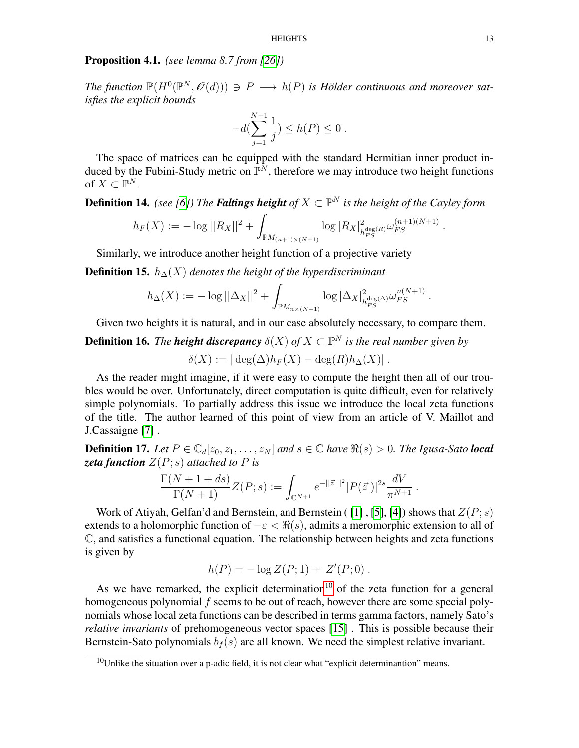## Proposition 4.1. *(see lemma 8.7 from [\[26\]](#page-21-1))*

The function  $\mathbb{P}(H^0(\mathbb{P}^N, \mathcal{O}(d))) \ni P \longrightarrow h(P)$  is Hölder continuous and moreover sat*isfies the explicit bounds*

$$
-d(\sum_{j=1}^{N-1} \frac{1}{j}) \leq h(P) \leq 0.
$$

The space of matrices can be equipped with the standard Hermitian inner product induced by the Fubini-Study metric on  $\mathbb{P}^N$ , therefore we may introduce two height functions of  $X \subset \mathbb{P}^N$ .

**Definition 14.** *(see [\[6\]](#page-20-10))* The **Faltings height** of  $X \subset \mathbb{P}^N$  is the height of the Cayley form

$$
h_F(X) := -\log ||R_X||^2 + \int_{\mathbb{P}M_{(n+1)\times(N+1)}} \log |R_X|_{h_{FS}^{\deg(R)}}^{2} \omega_{FS}^{(n+1)(N+1)}.
$$

Similarly, we introduce another height function of a projective variety

**Definition 15.**  $h_{\Delta}(X)$  *denotes the height of the hyperdiscriminant* 

$$
h_{\Delta}(X) := -\log ||\Delta_X||^2 + \int_{\mathbb{P}M_{n\times (N+1)}} \log |\Delta_X|_{h_{FS}^{\deg(\Delta)}}^{2} \omega_{FS}^{n(N+1)}.
$$

Given two heights it is natural, and in our case absolutely necessary, to compare them.

**Definition 16.** The **height discrepancy**  $\delta(X)$  of  $X \subset \mathbb{P}^N$  is the real number given by

$$
\delta(X) := |\deg(\Delta)h_F(X) - \deg(R)h_{\Delta}(X)|.
$$

As the reader might imagine, if it were easy to compute the height then all of our troubles would be over. Unfortunately, direct computation is quite difficult, even for relatively simple polynomials. To partially address this issue we introduce the local zeta functions of the title. The author learned of this point of view from an article of V. Maillot and J.Cassaigne [\[7\]](#page-20-11) .

**Definition 17.** Let  $P \in \mathbb{C}_d[z_0, z_1, \ldots, z_N]$  and  $s \in \mathbb{C}$  have  $\Re(s) > 0$ . The Igusa-Sato **local** zeta function  $Z(P; s)$  attached to P is

$$
\frac{\Gamma(N+1+ds)}{\Gamma(N+1)}Z(P;s) := \int_{\mathbb{C}^{N+1}} e^{-||\vec{z}||^2} |P(\vec{z})|^{2s} \frac{dV}{\pi^{N+1}}.
$$

Work of Atiyah, Gelfan'd and Bernstein, and Bernstein ([\[1\]](#page-20-12), [\[5\]](#page-20-13), [\[4\]](#page-20-14)) shows that  $Z(P; s)$ extends to a holomorphic function of  $-\varepsilon < \Re(s)$ , admits a meromorphic extension to all of C, and satisfies a functional equation. The relationship between heights and zeta functions is given by

$$
h(P) = -\log Z(P; 1) + Z'(P; 0) .
$$

As we have remarked, the explicit determination<sup>[10](#page-12-0)</sup> of the zeta function for a general homogeneous polynomial f seems to be out of reach, however there are some special polynomials whose local zeta functions can be described in terms gamma factors, namely Sato's *relative invariants* of prehomogeneous vector spaces [\[15\]](#page-20-15) . This is possible because their Bernstein-Sato polynomials  $b_f(s)$  are all known. We need the simplest relative invariant.

<span id="page-12-0"></span> $10$ Unlike the situation over a p-adic field, it is not clear what "explicit determinantion" means.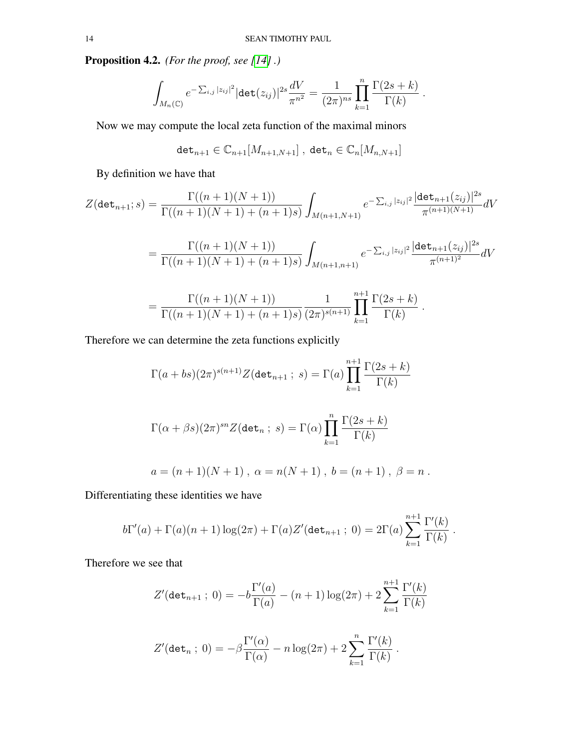Proposition 4.2. *(For the proof, see [\[14\]](#page-20-16) .)*

$$
\int_{M_n(\mathbb{C})} e^{-\sum_{i,j} |z_{ij}|^2} |\text{det}(z_{ij})|^{2s} \frac{dV}{\pi^{n^2}} = \frac{1}{(2\pi)^{ns}} \prod_{k=1}^n \frac{\Gamma(2s+k)}{\Gamma(k)}.
$$

Now we may compute the local zeta function of the maximal minors

$$
\texttt{det}_{n+1} \in \mathbb{C}_{n+1}[M_{n+1,N+1}] \; , \; \texttt{det}_n \in \mathbb{C}_n[M_{n,N+1}]
$$

By definition we have that

$$
Z(\det_{n+1};s) = \frac{\Gamma((n+1)(N+1))}{\Gamma((n+1)(N+1) + (n+1)s)} \int_{M(n+1,N+1)} e^{-\sum_{i,j} |z_{ij}|^2} \frac{|\det_{n+1}(z_{ij})|^{2s}}{\pi^{(n+1)(N+1)}} dV
$$

$$
= \frac{\Gamma((n+1)(N+1))}{\Gamma((n+1)(N+1)+(n+1)s)} \int_{M(n+1,n+1)} e^{-\sum_{i,j}|z_{ij}|^2} \frac{|\det_{n+1}(z_{ij})|^{2s}}{\pi^{(n+1)^2}} dV
$$

$$
= \frac{\Gamma((n+1)(N+1))}{\Gamma((n+1)(N+1)+(n+1)s)} \frac{1}{(2\pi)^{s(n+1)}} \prod_{k=1}^{n+1} \frac{\Gamma(2s+k)}{\Gamma(k)}.
$$

Therefore we can determine the zeta functions explicitly

$$
\Gamma(a+bs)(2\pi)^{s(n+1)}Z(\det_{n+1}; s) = \Gamma(a)\prod_{k=1}^{n+1}\frac{\Gamma(2s+k)}{\Gamma(k)}
$$

$$
\Gamma(\alpha+\beta s)(2\pi)^{sn}Z(\det_n; s) = \Gamma(\alpha)\prod_{k=1}^n\frac{\Gamma(2s+k)}{\Gamma(k)}
$$

$$
a = (n+1)(N+1), \ \alpha = n(N+1), \ b = (n+1), \ \beta = n.
$$

Differentiating these identities we have

$$
b\Gamma'(a) + \Gamma(a)(n+1)\log(2\pi) + \Gamma(a)Z'(det_{n+1} ; 0) = 2\Gamma(a)\sum_{k=1}^{n+1} \frac{\Gamma'(k)}{\Gamma(k)}.
$$

Therefore we see that

$$
Z'(\det_{n+1}; 0) = -b\frac{\Gamma'(a)}{\Gamma(a)} - (n+1)\log(2\pi) + 2\sum_{k=1}^{n+1} \frac{\Gamma'(k)}{\Gamma(k)}
$$

$$
Z'(\det_n; 0) = -\beta \frac{\Gamma'(\alpha)}{\Gamma(\alpha)} - n \log(2\pi) + 2 \sum_{k=1}^n \frac{\Gamma'(k)}{\Gamma(k)}.
$$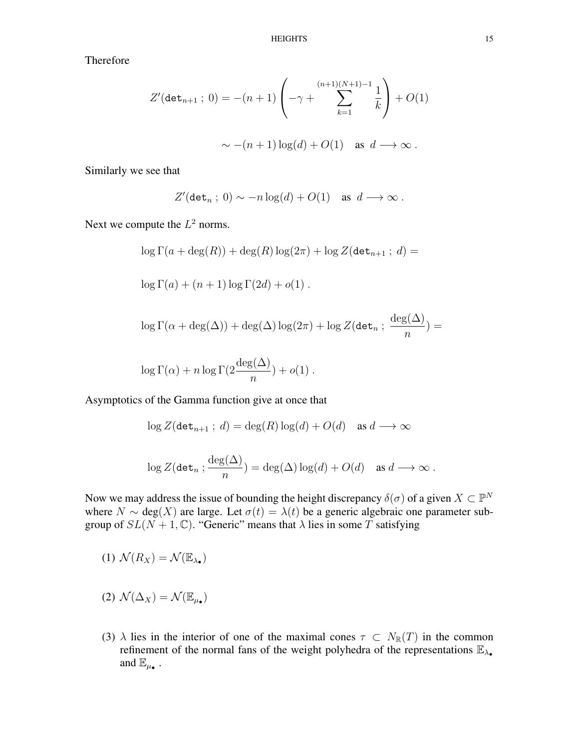Therefore

$$
Z'(\det_{n+1} : 0) = -(n+1) \left( -\gamma + \sum_{k=1}^{(n+1)(N+1)-1} \frac{1}{k} \right) + O(1)
$$
  

$$
\sim -(n+1) \log(d) + O(1) \quad \text{as } d \longrightarrow \infty.
$$

Similarly we see that

$$
Z'(\det_n; 0) \sim -n \log(d) + O(1) \quad \text{as } d \longrightarrow \infty.
$$

Next we compute the  $L^2$  norms.

$$
\log \Gamma(a + \deg(R)) + \deg(R) \log(2\pi) + \log Z(\det_{n+1} ; d) =
$$
  

$$
\log \Gamma(a) + (n+1) \log \Gamma(2d) + o(1) .
$$
  

$$
\log \Gamma(\alpha + \deg(\Delta)) + \deg(\Delta) \log(2\pi) + \log Z(\det_n ; \frac{\deg(\Delta)}{n}) =
$$
  

$$
\log \Gamma(\alpha) + n \log \Gamma(2\frac{\deg(\Delta)}{n}) + o(1) .
$$

Asymptotics of the Gamma function give at once that

$$
\log Z(\det_{n+1} \,;\, d) = \deg(R) \log(d) + O(d) \quad \text{as } d \longrightarrow \infty
$$
  

$$
\log Z(\det_n \,;\, \frac{\deg(\Delta)}{n}) = \deg(\Delta) \log(d) + O(d) \quad \text{as } d \longrightarrow \infty.
$$

Now we may address the issue of bounding the height discrepancy  $\delta(\sigma)$  of a given  $X \subset \mathbb{P}^N$ where  $N \sim deg(X)$  are large. Let  $\sigma(t) = \lambda(t)$  be a generic algebraic one parameter subgroup of  $SL(N + 1, \mathbb{C})$ . "Generic" means that  $\lambda$  lies in some T satisfying

(1)  $\mathcal{N}(R_X) = \mathcal{N}(\mathbb{E}_{\lambda_{\bullet}})$ 

- (2)  $\mathcal{N}(\Delta_X) = \mathcal{N}(\mathbb{E}_{\mu_{\bullet}})$
- (3)  $\lambda$  lies in the interior of one of the maximal cones  $\tau \subset N_{\mathbb{R}}(T)$  in the common refinement of the normal fans of the weight polyhedra of the representations  $\mathbb{E}_{\lambda_{\bullet}}$ and  $\mathbb{E}_{\mu_{\bullet}}$  .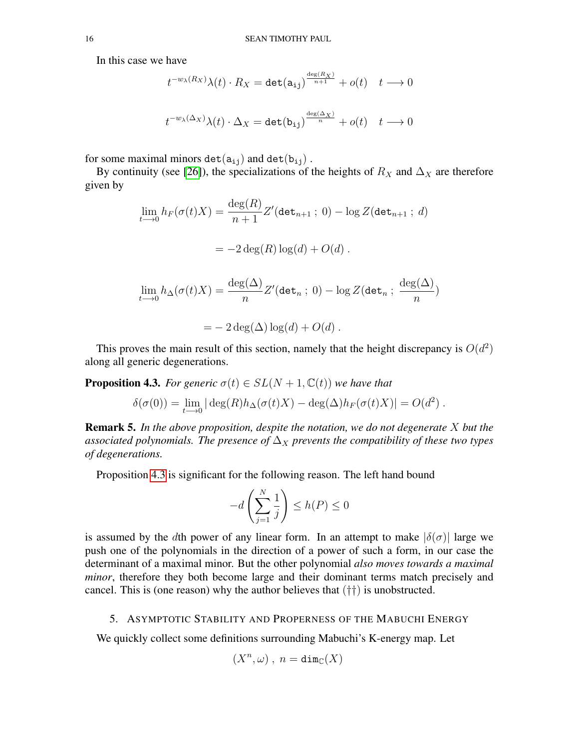In this case we have

$$
t^{-w_{\lambda}(R_X)}\lambda(t) \cdot R_X = \det(\mathbf{a}_{ij})^{\frac{\deg(R_X)}{n+1}} + o(t) \quad t \longrightarrow 0
$$
  

$$
t^{-w_{\lambda}(\Delta_X)}\lambda(t) \cdot \Delta_X = \det(\mathbf{b}_{ij})^{\frac{\deg(\Delta_X)}{n}} + o(t) \quad t \longrightarrow 0
$$

for some maximal minors det( $a_{ij}$ ) and det( $b_{ij}$ ).

By continuity (see [\[26\]](#page-21-1)), the specializations of the heights of  $R_X$  and  $\Delta_X$  are therefore given by

$$
\lim_{t \to 0} h_F(\sigma(t)X) = \frac{\deg(R)}{n+1} Z'(\det_{n+1} \,; \, 0) - \log Z(\det_{n+1} \,; \, d)
$$
\n
$$
= -2 \deg(R) \log(d) + O(d) \,.
$$

$$
\lim_{t \to 0} h_{\Delta}(\sigma(t)X) = \frac{\deg(\Delta)}{n} Z'(\det_n; 0) - \log Z(\det_n; \frac{\deg(\Delta)}{n})
$$

$$
= -2 \deg(\Delta) \log(d) + O(d) .
$$

This proves the main result of this section, namely that the height discrepancy is  $O(d^2)$ along all generic degenerations.

<span id="page-15-1"></span>**Proposition 4.3.** *For generic*  $\sigma(t) \in SL(N + 1, \mathbb{C}(t))$  *we have that* 

$$
\delta(\sigma(0)) = \lim_{t \to 0} |\deg(R)h_{\Delta}(\sigma(t)X) - \deg(\Delta)h_F(\sigma(t)X)| = O(d^2).
$$

Remark 5. *In the above proposition, despite the notation, we do not degenerate* X *but the* associated polynomials. The presence of  $\Delta_X$  prevents the compatibility of these two types *of degenerations.*

Proposition [4.3](#page-15-1) is significant for the following reason. The left hand bound

$$
-d\left(\sum_{j=1}^{N}\frac{1}{j}\right) \le h(P) \le 0
$$

is assumed by the dth power of any linear form. In an attempt to make  $|\delta(\sigma)|$  large we push one of the polynomials in the direction of a power of such a form, in our case the determinant of a maximal minor. But the other polynomial *also moves towards a maximal minor*, therefore they both become large and their dominant terms match precisely and cancel. This is (one reason) why the author believes that  $(\dagger\dagger)$  is unobstructed.

## <span id="page-15-0"></span>5. ASYMPTOTIC STABILITY AND PROPERNESS OF THE MABUCHI ENERGY

We quickly collect some definitions surrounding Mabuchi's K-energy map. Let

$$
(X^n, \omega) , n = \dim_{\mathbb{C}}(X)
$$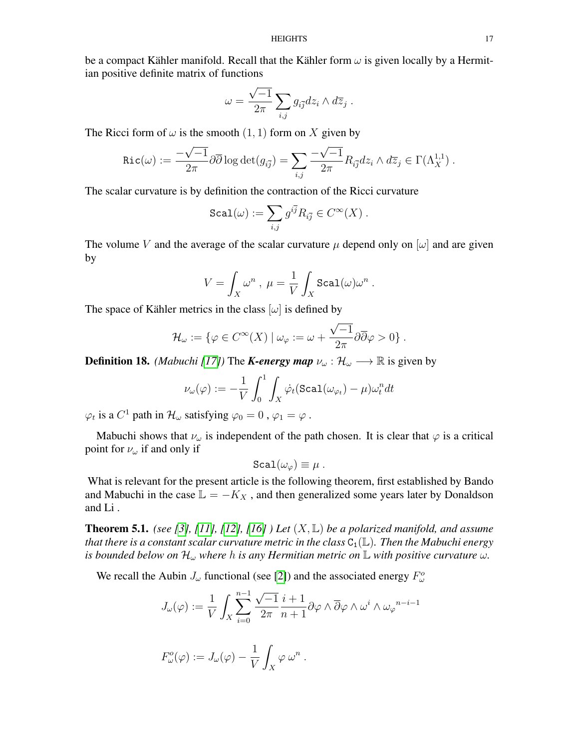be a compact Kähler manifold. Recall that the Kähler form  $\omega$  is given locally by a Hermitian positive definite matrix of functions

$$
\omega = \frac{\sqrt{-1}}{2\pi} \sum_{i,j} g_{i\overline{j}} dz_i \wedge d\overline{z}_j .
$$

The Ricci form of  $\omega$  is the smooth  $(1, 1)$  form on X given by

$$
\operatorname{Ric}(\omega) := \frac{-\sqrt{-1}}{2\pi} \partial \overline{\partial} \log \det(g_{i\overline{j}}) = \sum_{i,j} \frac{-\sqrt{-1}}{2\pi} R_{i\overline{j}} dz_i \wedge d\overline{z}_j \in \Gamma(\Lambda_X^{1,1}).
$$

The scalar curvature is by definition the contraction of the Ricci curvature

$$
\texttt{Scal}(\omega) := \sum_{i,j} g^{i\overline{j}} R_{i\overline{j}} \in C^\infty(X) \ .
$$

The volume V and the average of the scalar curvature  $\mu$  depend only on  $[\omega]$  and are given by

$$
V = \int_X \omega^n , \ \mu = \frac{1}{V} \int_X \mathrm{Scal}(\omega) \omega^n .
$$

The space of Kähler metrics in the class  $[\omega]$  is defined by

$$
\mathcal{H}_{\omega} := \{ \varphi \in C^{\infty}(X) \mid \omega_{\varphi} := \omega + \frac{\sqrt{-1}}{2\pi} \partial \overline{\partial} \varphi > 0 \}.
$$

**Definition 18.** *(Mabuchi [\[17\]](#page-20-17))* The *K-energy map*  $\nu_{\omega} : \mathcal{H}_{\omega} \longrightarrow \mathbb{R}$  is given by

$$
\nu_{\omega}(\varphi) := -\frac{1}{V} \int_0^1 \int_X \dot{\varphi}_t (\texttt{Scal}(\omega_{\varphi_t}) - \mu) \omega_t^n dt
$$

 $\varphi_t$  is a  $C^1$  path in  $\mathcal{H}_\omega$  satisfying  $\varphi_0=0$  ,  $\varphi_1=\varphi$  .

Mabuchi shows that  $\nu_{\omega}$  is independent of the path chosen. It is clear that  $\varphi$  is a critical point for  $\nu_{\omega}$  if and only if

$$
\texttt{Scal}(\omega_\varphi) \equiv \mu \ .
$$

What is relevant for the present article is the following theorem, first established by Bando and Mabuchi in the case  $\mathbb{L} = -K_X$ , and then generalized some years later by Donaldson and Li .

**Theorem 5.1.** *(see [\[3\]](#page-20-18), [\[11\]](#page-20-19), [\[12\]](#page-20-20), [\[16\]](#page-20-21) ) Let*  $(X, \mathbb{L})$  *be a polarized manifold, and assume that there is a constant scalar curvature metric in the class*  $C_1(\mathbb{L})$ *. Then the Mabuchi energy is bounded below on*  $\mathcal{H}_{\omega}$  *where h is any Hermitian metric on*  $\mathbb{L}$  *with positive curvature*  $\omega$ *.* 

We recall the Aubin  $J_{\omega}$  functional (see [\[2\]](#page-20-22)) and the associated energy  $F_{\omega}^{\circ}$ 

$$
J_{\omega}(\varphi) := \frac{1}{V} \int_{X} \sum_{i=0}^{n-1} \frac{\sqrt{-1}}{2\pi} \frac{i+1}{n+1} \partial \varphi \wedge \overline{\partial} \varphi \wedge \omega^{i} \wedge \omega_{\varphi}{}^{n-i-1}
$$

$$
F_{\omega}^{o}(\varphi) := J_{\omega}(\varphi) - \frac{1}{V} \int_{X} \varphi \,\omega^{n} .
$$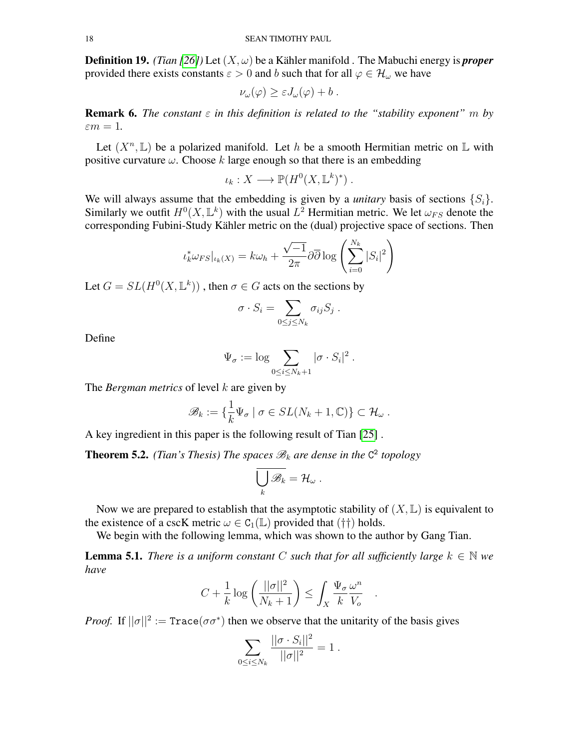**Definition 19.** *(Tian [\[26\]](#page-21-1))* Let  $(X, \omega)$  be a Kähler manifold . The Mabuchi energy is *proper* provided there exists constants  $\varepsilon > 0$  and b such that for all  $\varphi \in \mathcal{H}_{\omega}$  we have

$$
\nu_{\omega}(\varphi) \geq \varepsilon J_{\omega}(\varphi) + b.
$$

**Remark 6.** *The constant*  $\varepsilon$  *in this definition is related to the "stability exponent"* m *by*  $\varepsilon m = 1$ .

Let  $(X^n, \mathbb{L})$  be a polarized manifold. Let h be a smooth Hermitian metric on  $\mathbb L$  with positive curvature  $\omega$ . Choose k large enough so that there is an embedding

$$
\iota_k: X \longrightarrow \mathbb{P}(H^0(X, \mathbb{L}^k)^*) .
$$

We will always assume that the embedding is given by a *unitary* basis of sections  $\{S_i\}$ . Similarly we outfit  $H^0(X, \mathbb{L}^k)$  with the usual  $L^2$  Hermitian metric. We let  $\omega_{FS}$  denote the corresponding Fubini-Study Kähler metric on the (dual) projective space of sections. Then

$$
\iota_k^* \omega_{FS}|_{\iota_k(X)} = k \omega_h + \frac{\sqrt{-1}}{2\pi} \partial \overline{\partial} \log \left( \sum_{i=0}^{N_k} |S_i|^2 \right)
$$

Let  $G = SL(H^0(X, \mathbb{L}^k))$ , then  $\sigma \in G$  acts on the sections by

$$
\sigma \cdot S_i = \sum_{0 \leq j \leq N_k} \sigma_{ij} S_j .
$$

Define

$$
\Psi_{\sigma} := \log \sum_{0 \le i \le N_k + 1} |\sigma \cdot S_i|^2.
$$

The *Bergman metrics* of level k are given by

$$
\mathscr{B}_k := \{ \frac{1}{k} \Psi_{\sigma} \mid \sigma \in SL(N_k + 1, \mathbb{C}) \} \subset \mathcal{H}_{\omega} .
$$

A key ingredient in this paper is the following result of Tian [\[25\]](#page-21-2) .

**Theorem 5.2.** (Tian's Thesis) The spaces  $\mathscr{B}_k$  are dense in the  $C^2$  topology

$$
\bigcup_k \mathscr{B}_k = \mathcal{H}_\omega.
$$

Now we are prepared to establish that the asymptotic stability of  $(X, \mathbb{L})$  is equivalent to the existence of a cscK metric  $\omega \in C_1(\mathbb{L})$  provided that (††) holds.

We begin with the following lemma, which was shown to the author by Gang Tian.

**Lemma 5.1.** *There is a uniform constant* C *such that for all sufficiently large*  $k \in \mathbb{N}$  *we have*

$$
C + \frac{1}{k} \log \left( \frac{||\sigma||^2}{N_k + 1} \right) \le \int_X \frac{\Psi_\sigma}{k} \frac{\omega^n}{V_o}
$$

.

*Proof.* If  $||\sigma||^2 := \text{Trace}(\sigma \sigma^*)$  then we observe that the unitarity of the basis gives

$$
\sum_{0 \le i \le N_k} \frac{||\sigma \cdot S_i||^2}{||\sigma||^2} = 1.
$$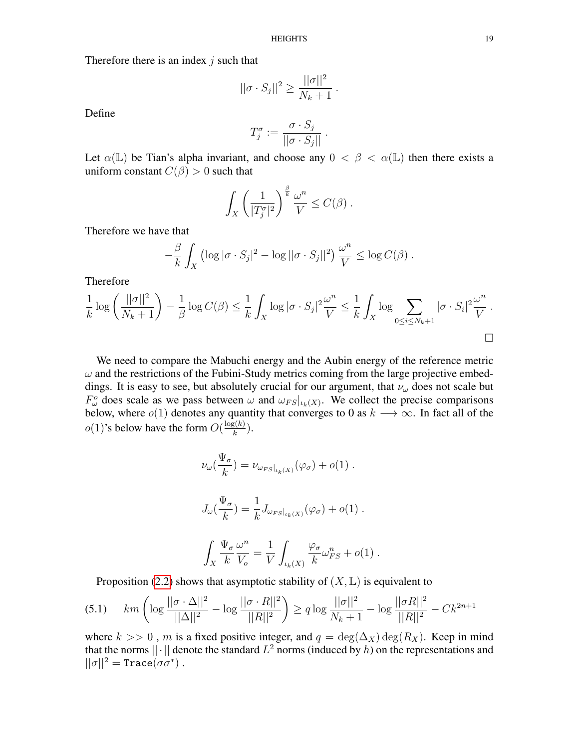Therefore there is an index  $j$  such that

$$
||\sigma \cdot S_j||^2 \ge \frac{||\sigma||^2}{N_k+1}.
$$

Define

$$
T_j^{\sigma} := \frac{\sigma \cdot S_j}{||\sigma \cdot S_j||}.
$$

Let  $\alpha(\mathbb{L})$  be Tian's alpha invariant, and choose any  $0 < \beta < \alpha(\mathbb{L})$  then there exists a uniform constant  $C(\beta) > 0$  such that

$$
\int_X \left(\frac{1}{|T_j^{\sigma}|^2}\right)^{\frac{\beta}{k}} \frac{\omega^n}{V} \leq C(\beta) .
$$

Therefore we have that

$$
-\frac{\beta}{k}\int_X \left(\log|\sigma \cdot S_j|^2 - \log||\sigma \cdot S_j||^2\right) \frac{\omega^n}{V} \le \log C(\beta).
$$

Therefore

$$
\frac{1}{k}\log\left(\frac{||\sigma||^2}{N_k+1}\right)-\frac{1}{\beta}\log C(\beta) \le \frac{1}{k}\int_X \log|\sigma\cdot S_j|^2\frac{\omega^n}{V} \le \frac{1}{k}\int_X \log\sum_{0\le i\le N_k+1}|\sigma\cdot S_i|^2\frac{\omega^n}{V}.
$$

We need to compare the Mabuchi energy and the Aubin energy of the reference metric  $\omega$  and the restrictions of the Fubini-Study metrics coming from the large projective embeddings. It is easy to see, but absolutely crucial for our argument, that  $\nu_{\omega}$  does not scale but  $F^{\circ}_{\omega}$  does scale as we pass between  $\omega$  and  $\omega_{FS}|_{\iota_k(X)}$ . We collect the precise comparisons below, where  $o(1)$  denotes any quantity that converges to 0 as  $k \longrightarrow \infty$ . In fact all of the  $o(1)$ 's below have the form  $O(\frac{\log(k)}{k})$  $\frac{\xi(\kappa)}{k}$ ).

$$
\nu_{\omega}(\frac{\Psi_{\sigma}}{k}) = \nu_{\omega_{FS}|_{\iota_k(X)}}(\varphi_{\sigma}) + o(1) .
$$
  

$$
J_{\omega}(\frac{\Psi_{\sigma}}{k}) = \frac{1}{k} J_{\omega_{FS}|_{\iota_k(X)}}(\varphi_{\sigma}) + o(1) .
$$

$$
\int_X \frac{\Psi_\sigma \,\omega^n}{k\ \ V_o} = \frac{1}{V} \int_{\iota_k(X)} \frac{\varphi_\sigma}{k} \omega_{FS}^n + o(1) \ .
$$

Proposition [\(2.2\)](#page-6-1) shows that asymptotic stability of  $(X, \mathbb{L})$  is equivalent to

<span id="page-18-0"></span>
$$
(5.1) \quad km\left(\log\frac{||\sigma \cdot \Delta||^2}{||\Delta||^2} - \log\frac{||\sigma \cdot R||^2}{||R||^2}\right) \ge q\log\frac{||\sigma||^2}{N_k + 1} - \log\frac{||\sigma R||^2}{||R||^2} - Ck^{2n+1}
$$

where  $k >> 0$ , m is a fixed positive integer, and  $q = \deg(\Delta_X) \deg(R_X)$ . Keep in mind that the norms  $||\cdot||$  denote the standard  $L^2$  norms (induced by h) on the representations and  $||\sigma||^2 = \text{Trace}(\sigma \sigma^*)$ .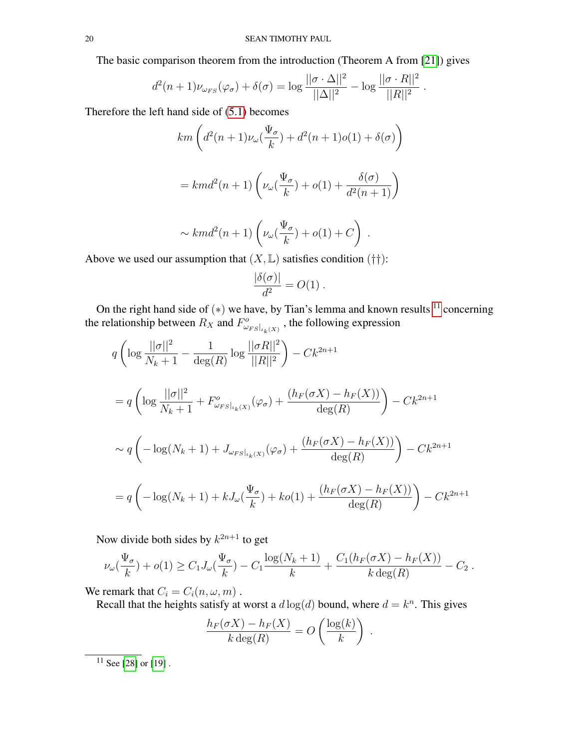The basic comparison theorem from the introduction (Theorem A from [\[21\]](#page-20-1)) gives

$$
d^{2}(n+1)\nu_{\omega_{FS}}(\varphi_{\sigma})+\delta(\sigma)=\log\frac{||\sigma\cdot\Delta||^{2}}{||\Delta||^{2}}-\log\frac{||\sigma\cdot R||^{2}}{||R||^{2}}.
$$

Therefore the left hand side of [\(5.1\)](#page-18-0) becomes

$$
km\left(d^2(n+1)\nu_{\omega}\left(\frac{\Psi_{\sigma}}{k}\right)+d^2(n+1)o(1)+\delta(\sigma)\right)
$$
  
=  $km d^2(n+1)\left(\nu_{\omega}\left(\frac{\Psi_{\sigma}}{k}\right)+o(1)+\frac{\delta(\sigma)}{d^2(n+1)}\right)$   
 $\sim km d^2(n+1)\left(\nu_{\omega}\left(\frac{\Psi_{\sigma}}{k}\right)+o(1)+C\right)$ .

Above we used our assumption that  $(X, L)$  satisfies condition  $(\dagger\dagger)$ :

$$
\frac{|\delta(\sigma)|}{d^2} = O(1) .
$$

On the right hand side of  $(*)$  we have, by Tian's lemma and known results  $11$  concerning the relationship between  $R_X$  and  $F^o_{\omega_{FS}|_{\iota_k(X)}}$ , the following expression

$$
q \left( \log \frac{||\sigma||^2}{N_k + 1} - \frac{1}{\deg(R)} \log \frac{||\sigma R||^2}{||R||^2} \right) - Ck^{2n+1}
$$
  
=  $q \left( \log \frac{||\sigma||^2}{N_k + 1} + F_{\omega_{FS}|_{\iota_k(X)}}^o(\varphi_{\sigma}) + \frac{(h_F(\sigma X) - h_F(X))}{\deg(R)} \right) - Ck^{2n+1}$   
 $\sim q \left( -\log(N_k + 1) + J_{\omega_{FS}|_{\iota_k(X)}}(\varphi_{\sigma}) + \frac{(h_F(\sigma X) - h_F(X))}{\deg(R)} \right) - Ck^{2n+1}$   
=  $q \left( -\log(N_k + 1) + kJ_{\omega}(\frac{\Psi_{\sigma}}{k}) + ko(1) + \frac{(h_F(\sigma X) - h_F(X))}{\deg(R)} \right) - Ck^{2n+1}$ 

Now divide both sides by  $k^{2n+1}$  to get

$$
\nu_{\omega}(\frac{\Psi_{\sigma}}{k}) + o(1) \ge C_1 J_{\omega}(\frac{\Psi_{\sigma}}{k}) - C_1 \frac{\log(N_k + 1)}{k} + \frac{C_1(h_F(\sigma X) - h_F(X))}{k \deg(R)} - C_2.
$$

We remark that  $C_i = C_i(n, \omega, m)$ .

Recall that the heights satisfy at worst a  $d \log(d)$  bound, where  $d = k^n$ . This gives

$$
\frac{h_F(\sigma X) - h_F(X)}{k \deg(R)} = O\left(\frac{\log(k)}{k}\right).
$$

<span id="page-19-0"></span> $\overline{11 \text{ See}}$  [\[28\]](#page-21-4) or [\[19\]](#page-20-23).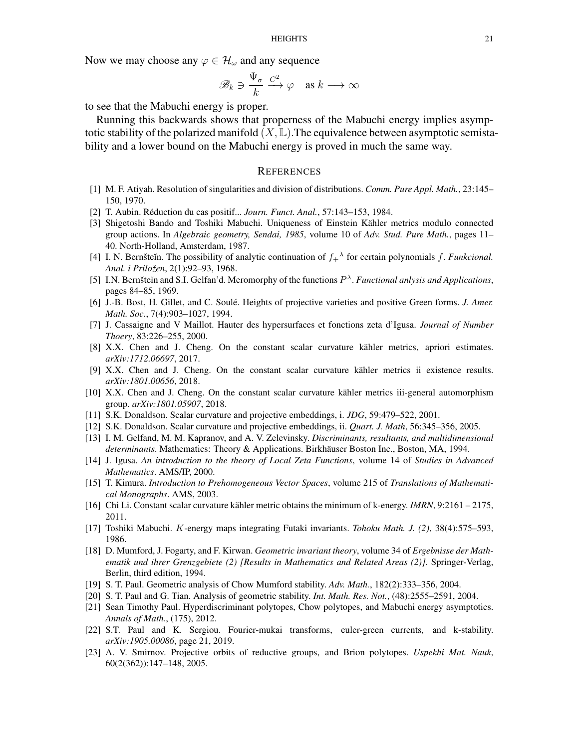Now we may choose any  $\varphi \in \mathcal{H}_{\omega}$  and any sequence

$$
\mathscr{B}_k \ni \frac{\Psi_\sigma}{k} \stackrel{C^2}{\longrightarrow} \varphi \quad \text{as } k \longrightarrow \infty
$$

to see that the Mabuchi energy is proper.

Running this backwards shows that properness of the Mabuchi energy implies asymptotic stability of the polarized manifold  $(X, \mathbb{L})$ . The equivalence between asymptotic semistability and a lower bound on the Mabuchi energy is proved in much the same way.

### <span id="page-20-0"></span>**REFERENCES**

- <span id="page-20-12"></span>[1] M. F. Atiyah. Resolution of singularities and division of distributions. *Comm. Pure Appl. Math.*, 23:145– 150, 1970.
- <span id="page-20-22"></span>[2] T. Aubin. Réduction du cas positif... *Journ. Funct. Anal.*, 57:143–153, 1984.
- <span id="page-20-18"></span>[3] Shigetoshi Bando and Toshiki Mabuchi. Uniqueness of Einstein Kähler metrics modulo connected group actions. In *Algebraic geometry, Sendai, 1985*, volume 10 of *Adv. Stud. Pure Math.*, pages 11– 40. North-Holland, Amsterdam, 1987.
- <span id="page-20-14"></span>[4] I. N. Bernšteĭn. The possibility of analytic continuation of  $f_{+}^{\lambda}$  for certain polynomials f. *Funkcional*. *Anal. i Priložen*, 2(1):92–93, 1968.
- <span id="page-20-13"></span>[5] I.N. Bernšteĭn and S.I. Gelfan'd. Meromorphy of the functions  $P^{\lambda}$ . *Functional anlysis and Applications*, pages 84–85, 1969.
- <span id="page-20-10"></span>[6] J.-B. Bost, H. Gillet, and C. Soulé. Heights of projective varieties and positive Green forms. *J. Amer. Math. Soc.*, 7(4):903–1027, 1994.
- <span id="page-20-11"></span>[7] J. Cassaigne and V Maillot. Hauter des hypersurfaces et fonctions zeta d'Igusa. *Journal of Number Thoery*, 83:226–255, 2000.
- <span id="page-20-4"></span>[8] X.X. Chen and J. Cheng. On the constant scalar curvature kähler metrics, apriori estimates. *arXiv:1712.06697*, 2017.
- <span id="page-20-5"></span>[9] X.X. Chen and J. Cheng. On the constant scalar curvature kähler metrics ii existence results. *arXiv:1801.00656*, 2018.
- <span id="page-20-6"></span>[10] X.X. Chen and J. Cheng. On the constant scalar curvature kähler metrics iii-general automorphism group. *arXiv:1801.05907*, 2018.
- <span id="page-20-19"></span>[11] S.K. Donaldson. Scalar curvature and projective embeddings, i. *JDG*, 59:479–522, 2001.
- <span id="page-20-20"></span>[12] S.K. Donaldson. Scalar curvature and projective embeddings, ii. *Quart. J. Math*, 56:345–356, 2005.
- <span id="page-20-9"></span>[13] I. M. Gelfand, M. M. Kapranov, and A. V. Zelevinsky. *Discriminants, resultants, and multidimensional determinants*. Mathematics: Theory & Applications. Birkhäuser Boston Inc., Boston, MA, 1994.
- <span id="page-20-16"></span>[14] J. Igusa. *An introduction to the theory of Local Zeta Functions*, volume 14 of *Studies in Advanced Mathematics*. AMS/IP, 2000.
- <span id="page-20-15"></span>[15] T. Kimura. *Introduction to Prehomogeneous Vector Spaces*, volume 215 of *Translations of Mathematical Monographs*. AMS, 2003.
- <span id="page-20-21"></span>[16] Chi Li. Constant scalar curvature kähler metric obtains the minimum of k-energy. *IMRN*, 9:2161 – 2175, 2011.
- <span id="page-20-17"></span>[17] Toshiki Mabuchi. K-energy maps integrating Futaki invariants. *Tohoku Math. J. (2)*, 38(4):575–593, 1986.
- <span id="page-20-8"></span>[18] D. Mumford, J. Fogarty, and F. Kirwan. *Geometric invariant theory*, volume 34 of *Ergebnisse der Mathematik und ihrer Grenzgebiete (2) [Results in Mathematics and Related Areas (2)]*. Springer-Verlag, Berlin, third edition, 1994.
- <span id="page-20-23"></span>[19] S. T. Paul. Geometric analysis of Chow Mumford stability. *Adv. Math.*, 182(2):333–356, 2004.
- <span id="page-20-2"></span>[20] S. T. Paul and G. Tian. Analysis of geometric stability. *Int. Math. Res. Not.*, (48):2555–2591, 2004.
- <span id="page-20-1"></span>[21] Sean Timothy Paul. Hyperdiscriminant polytopes, Chow polytopes, and Mabuchi energy asymptotics. *Annals of Math.*, (175), 2012.
- <span id="page-20-3"></span>[22] S.T. Paul and K. Sergiou. Fourier-mukai transforms, euler-green currents, and k-stability. *arXiv:1905.00086*, page 21, 2019.
- <span id="page-20-7"></span>[23] A. V. Smirnov. Projective orbits of reductive groups, and Brion polytopes. *Uspekhi Mat. Nauk*, 60(2(362)):147–148, 2005.